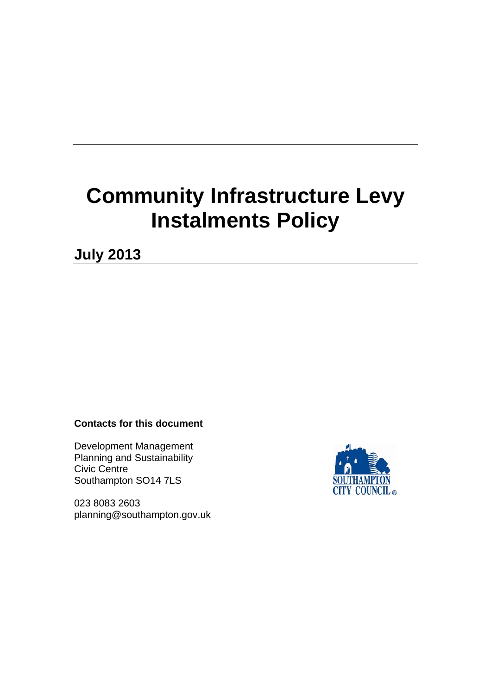# **Community Infrastructure Levy Instalments Policy**

**July 2013** 

#### **Contacts for this document**

Development Management Planning and Sustainability Civic Centre Southampton SO14 7LS

023 8083 2603 planning@southampton.gov.uk